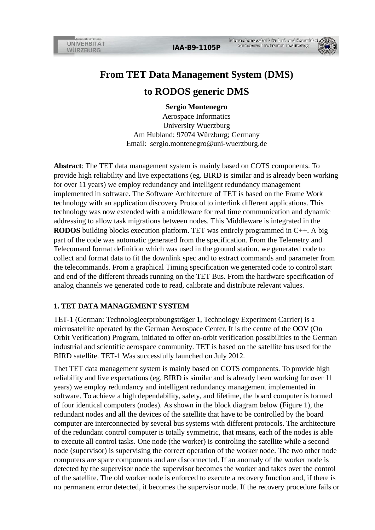

## **From TET Data Management System (DMS) to RODOS generic DMS**

**Sergio Montenegro**

Aerospace Informatics University Wuerzburg Am Hubland; 97074 Würzburg; Germany Email: sergio.montenegro@uni-wuerzburg.de

**Abstract**: The TET data management system is mainly based on COTS components. To provide high reliability and live expectations (eg. BIRD is similar and is already been working for over 11 years) we employ redundancy and intelligent redundancy management implemented in software. The Software Architecture of TET is based on the Frame Work technology with an application discovery Protocol to interlink different applications. This technology was now extended with a middleware for real time communication and dynamic addressing to allow task migrations between nodes. This Middleware is integrated in the **RODOS** building blocks execution platform. TET was entirely programmed in C++. A big part of the code was automatic generated from the specification. From the Telemetry and Telecomand format definition which was used in the ground station. we generated code to collect and format data to fit the downlink spec and to extract commands and parameter from the telecommands. From a graphical Timing specification we generated code to control start and end of the different threads running on the TET Bus. From the hardware specification of analog channels we generated code to read, calibrate and distribute relevant values.

## **1. TET DATA MANAGEMENT SYSTEM**

**UNIVERSITÄT** 

**WÜRZBURG** 

TET-1 (German: Technologieerprobungsträger 1, Technology Experiment Carrier) is a microsatellite operated by the German Aerospace Center. It is the centre of the OOV (On Orbit Verification) Program, initiated to offer on-orbit verification possibilities to the German industrial and scientific aerospace community. TET is based on the satellite bus used for the BIRD satellite. TET-1 Was successfully launched on July 2012.

Thet TET data management system is mainly based on COTS components. To provide high reliability and live expectations (eg. BIRD is similar and is already been working for over 11 years) we employ redundancy and intelligent redundancy management implemented in software. To achieve a high dependability, safety, and lifetime, the board computer is formed of four identical computers (nodes). As shown in the block diagram below (Figure 1), the redundant nodes and all the devices of the satellite that have to be controlled by the board computer are interconnected by several bus systems with different protocols. The architecture of the redundant control computer is totally symmetric, that means, each of the nodes is able to execute all control tasks. One node (the worker) is controling the satellite while a second node (supervisor) is supervising the correct operation of the worker node. The two other node computers are spare components and are disconnected. If an anomaly of the worker node is detected by the supervisor node the supervisor becomes the worker and takes over the control of the satellite. The old worker node is enforced to execute a recovery function and, if there is no permanent error detected, it becomes the supervisor node. If the recovery procedure fails or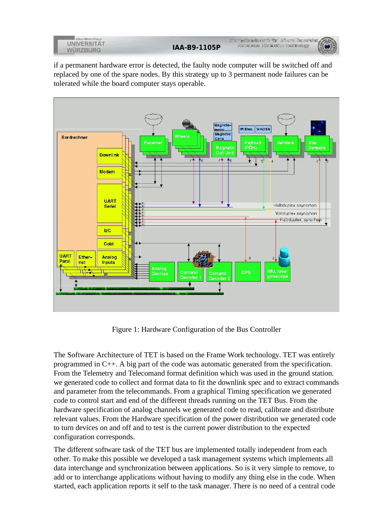

Informationstechnik für Luft-und Raumfahrt Asrospace Information Technology **IAA-B9-1105P**



if a permanent hardware error is detected, the faulty node computer will be switched off and replaced by one of the spare nodes. By this strategy up to 3 permanent node failures can be tolerated while the board computer stays operable.



Figure 1: Hardware Configuration of the Bus Controller

The Software Architecture of TET is based on the Frame Work technology. TET was entirely programmed in C++. A big part of the code was automatic generated from the specification. From the Telemetry and Telecomand format definition which was used in the ground station. we generated code to collect and format data to fit the downlink spec and to extract commands and parameter from the telecommands. From a graphical Timing specification we generated code to control start and end of the different threads running on the TET Bus. From the hardware specification of analog channels we generated code to read, calibrate and distribute relevant values. From the Hardware specification of the power distribution we generated code to turn devices on and off and to test is the current power distribution to the expected configuration corresponds.

The different software task of the TET bus are implemented totally independent from each other. To make this possible we developed a task management systems which implements all data interchange and synchronization between applications. So is it very simple to remove, to add or to interchange applications without having to modify any thing else in the code. When started, each application reports it self to the task manager. There is no need of a central code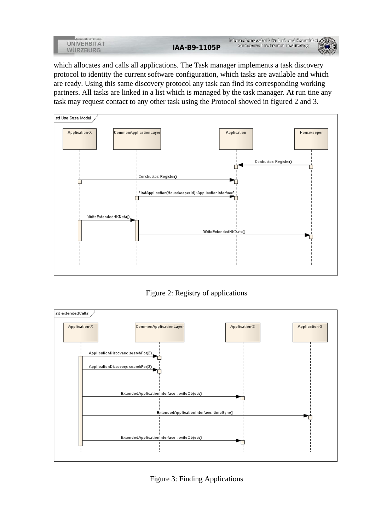| Julius-Maximillians<br>JNIVERSITAT |                     | Informationstechnik für Luft-und Raumfahrt<br>Asrospace Information Technology |
|------------------------------------|---------------------|--------------------------------------------------------------------------------|
|                                    | <b>IAA-B9-1105P</b> |                                                                                |

which allocates and calls all applications. The Task manager implements a task discovery protocol to identity the current software configuration, which tasks are available and which are ready. Using this same discovery protocol any task can find its corresponding working partners. All tasks are linked in a list which is managed by the task manager. At run tine any task may request contact to any other task using the Protocol showed in figured 2 and 3.



Figure 2: Registry of applications



Figure 3: Finding Applications